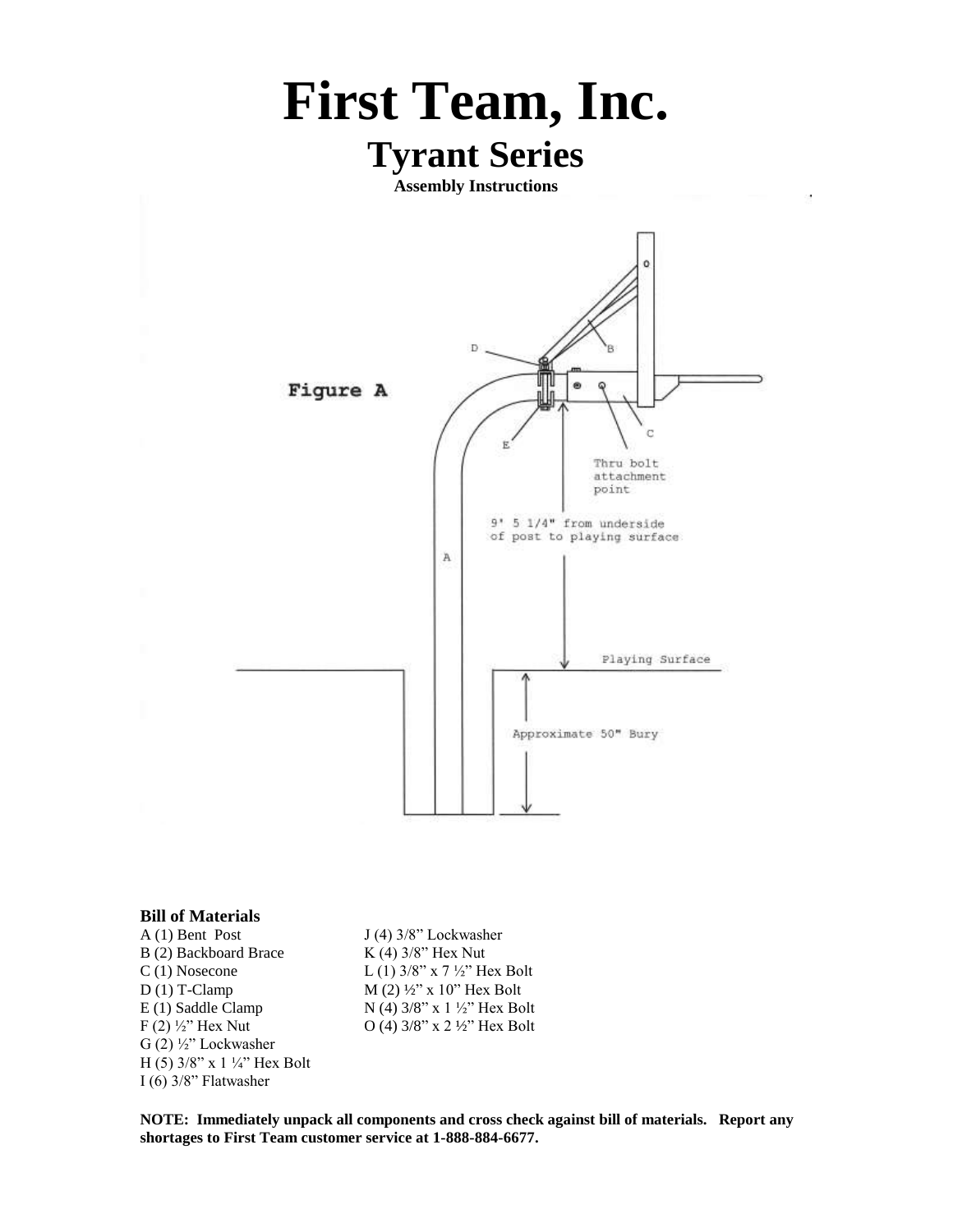

## **Bill of Materials**

A (1) Bent Post  $J(4)$  3/8" Lockwasher B (2) Backboard Brace K (4) 3/8" Hex Nut C (1) Nosecone L (1)  $3/8$ " x 7  $\frac{1}{2}$ " Hex Bolt D (1) T-Clamp  $M(2)$   $\frac{1}{2}$ " x 10" Hex Bolt E (1) Saddle Clamp  $N$  (4) 3/8" x 1  $\frac{1}{2}$ " Hex Bolt F (2)  $\frac{1}{2}$ " Hex Nut O (4)  $\frac{3}{8}$ " x 2  $\frac{1}{2}$ " Hex Bolt G (2) ½" Lockwasher H (5) 3/8" x 1 ¼" Hex Bolt I (6) 3/8" Flatwasher

**NOTE: Immediately unpack all components and cross check against bill of materials. Report any shortages to First Team customer service at 1-888-884-6677.**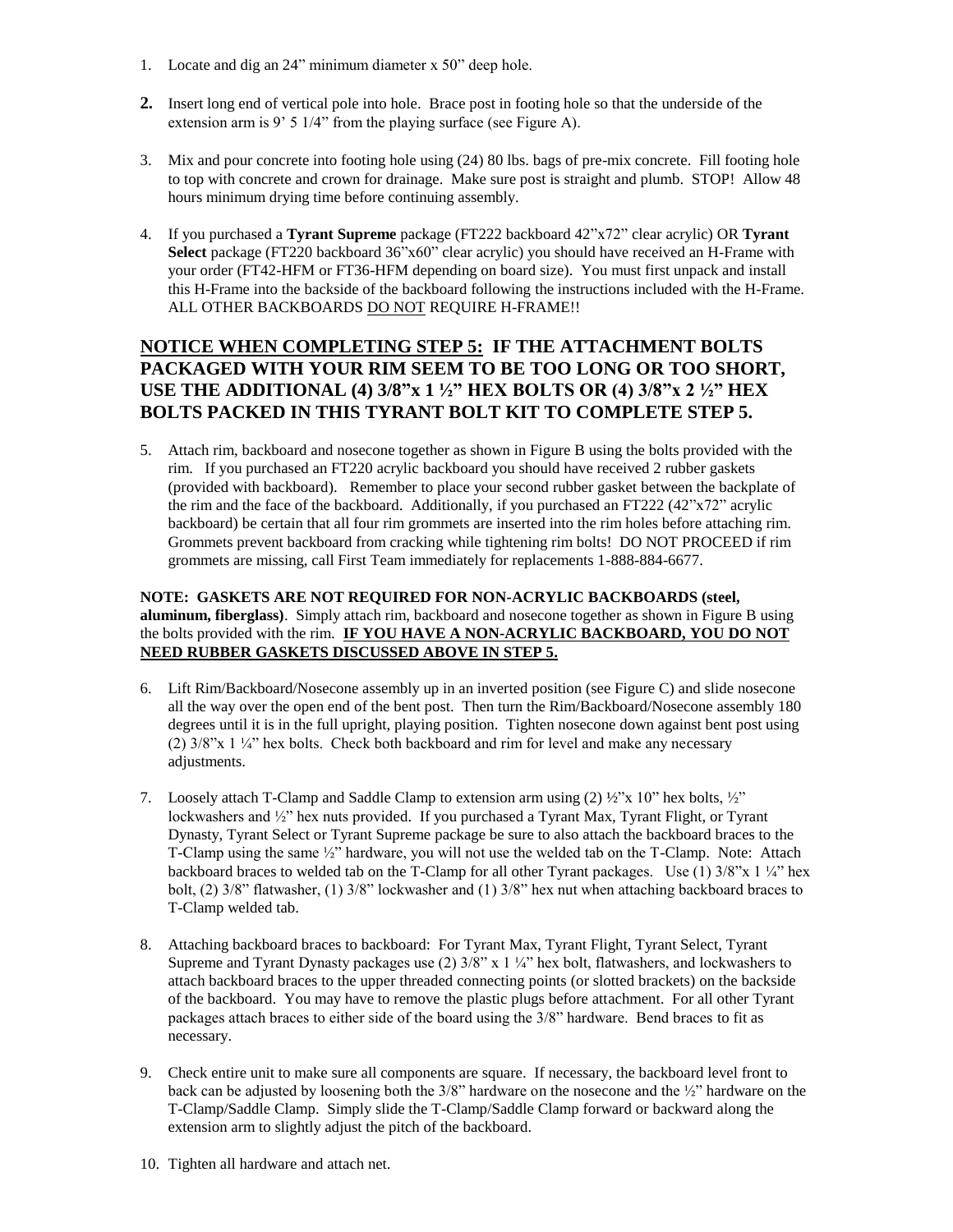- 1. Locate and dig an 24" minimum diameter x 50" deep hole.
- **2.** Insert long end of vertical pole into hole. Brace post in footing hole so that the underside of the extension arm is 9' 5 1/4" from the playing surface (see Figure A).
- 3. Mix and pour concrete into footing hole using (24) 80 lbs. bags of pre-mix concrete. Fill footing hole to top with concrete and crown for drainage. Make sure post is straight and plumb. STOP! Allow 48 hours minimum drying time before continuing assembly.
- 4. If you purchased a **Tyrant Supreme** package (FT222 backboard 42"x72" clear acrylic) OR **Tyrant Select** package (FT220 backboard 36"x60" clear acrylic) you should have received an H-Frame with your order (FT42-HFM or FT36-HFM depending on board size). You must first unpack and install this H-Frame into the backside of the backboard following the instructions included with the H-Frame. ALL OTHER BACKBOARDS DO NOT REQUIRE H-FRAME!!

## **NOTICE WHEN COMPLETING STEP 5: IF THE ATTACHMENT BOLTS PACKAGED WITH YOUR RIM SEEM TO BE TOO LONG OR TOO SHORT, USE THE ADDITIONAL (4) 3/8"x 1 ½" HEX BOLTS OR (4) 3/8"x 2 ½" HEX BOLTS PACKED IN THIS TYRANT BOLT KIT TO COMPLETE STEP 5.**

5. Attach rim, backboard and nosecone together as shown in Figure B using the bolts provided with the rim. If you purchased an FT220 acrylic backboard you should have received 2 rubber gaskets (provided with backboard). Remember to place your second rubber gasket between the backplate of the rim and the face of the backboard. Additionally, if you purchased an FT222 (42"x72" acrylic backboard) be certain that all four rim grommets are inserted into the rim holes before attaching rim. Grommets prevent backboard from cracking while tightening rim bolts! DO NOT PROCEED if rim grommets are missing, call First Team immediately for replacements 1-888-884-6677.

## **NOTE: GASKETS ARE NOT REQUIRED FOR NON-ACRYLIC BACKBOARDS (steel, aluminum, fiberglass)**. Simply attach rim, backboard and nosecone together as shown in Figure B using the bolts provided with the rim. **IF YOU HAVE A NON-ACRYLIC BACKBOARD, YOU DO NOT NEED RUBBER GASKETS DISCUSSED ABOVE IN STEP 5.**

- 6. Lift Rim/Backboard/Nosecone assembly up in an inverted position (see Figure C) and slide nosecone all the way over the open end of the bent post. Then turn the Rim/Backboard/Nosecone assembly 180 degrees until it is in the full upright, playing position. Tighten nosecone down against bent post using (2) 3/8"x 1 ¼" hex bolts. Check both backboard and rim for level and make any necessary adjustments.
- 7. Loosely attach T-Clamp and Saddle Clamp to extension arm using (2)  $\frac{1}{2}$ " x 10" hex bolts,  $\frac{1}{2}$ " lockwashers and ½" hex nuts provided. If you purchased a Tyrant Max, Tyrant Flight, or Tyrant Dynasty, Tyrant Select or Tyrant Supreme package be sure to also attach the backboard braces to the T-Clamp using the same ½" hardware, you will not use the welded tab on the T-Clamp. Note: Attach backboard braces to welded tab on the T-Clamp for all other Tyrant packages. Use (1) 3/8"x 1 ¼" hex bolt, (2) 3/8" flatwasher, (1) 3/8" lockwasher and (1) 3/8" hex nut when attaching backboard braces to T-Clamp welded tab.
- 8. Attaching backboard braces to backboard: For Tyrant Max, Tyrant Flight, Tyrant Select, Tyrant Supreme and Tyrant Dynasty packages use  $(2)$  3/8" x 1  $\frac{1}{4}$ " hex bolt, flatwashers, and lockwashers to attach backboard braces to the upper threaded connecting points (or slotted brackets) on the backside of the backboard. You may have to remove the plastic plugs before attachment. For all other Tyrant packages attach braces to either side of the board using the 3/8" hardware. Bend braces to fit as necessary.
- 9. Check entire unit to make sure all components are square. If necessary, the backboard level front to back can be adjusted by loosening both the 3/8" hardware on the nosecone and the ½" hardware on the T-Clamp/Saddle Clamp. Simply slide the T-Clamp/Saddle Clamp forward or backward along the extension arm to slightly adjust the pitch of the backboard.
- 10. Tighten all hardware and attach net.